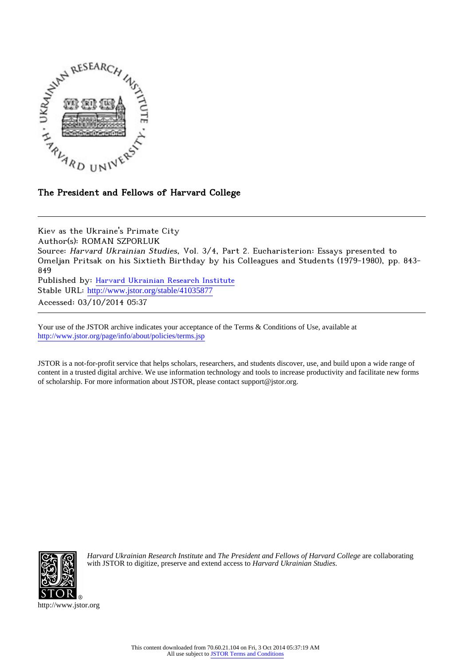

# The President and Fellows of Harvard College

Kiev as the Ukraine's Primate City Author(s): ROMAN SZPORLUK Source: Harvard Ukrainian Studies, Vol. 3/4, Part 2. Eucharisterion: Essays presented to Omeljan Pritsak on his Sixtieth Birthday by his Colleagues and Students (1979-1980), pp. 843- 849 Published by: [Harvard Ukrainian Research Institute](http://www.jstor.org/action/showPublisher?publisherCode=huri) Stable URL: http://www.jstor.org/stable/41035877 Accessed: 03/10/2014 05:37

Your use of the JSTOR archive indicates your acceptance of the Terms & Conditions of Use, available at <http://www.jstor.org/page/info/about/policies/terms.jsp>

JSTOR is a not-for-profit service that helps scholars, researchers, and students discover, use, and build upon a wide range of content in a trusted digital archive. We use information technology and tools to increase productivity and facilitate new forms of scholarship. For more information about JSTOR, please contact support@jstor.org.



*Harvard Ukrainian Research Institute* and *The President and Fellows of Harvard College* are collaborating with JSTOR to digitize, preserve and extend access to *Harvard Ukrainian Studies.*

http://www.jstor.org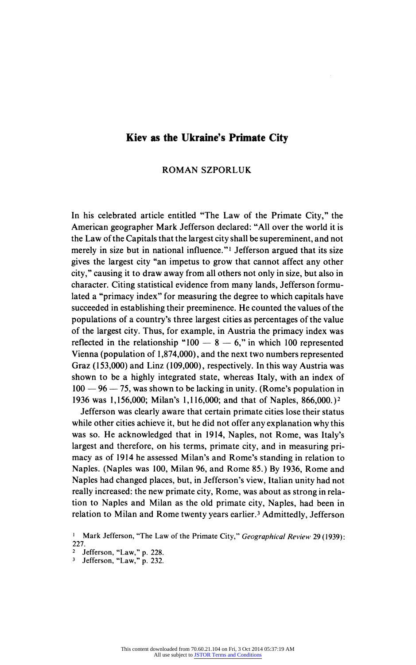## Kiev as the Ukraine's Primate City

#### ROMAN SZPORLUK

In his celebrated article entitled "The Law of the Primate City," the American geographer Mark Jefferson declared: "All over the world it is the Law of the Capitals that the largest city shall be supereminent, and not merely in size but in national influence."<sup>1</sup> Jefferson argued that its size gives the largest city "an impetus to grow that cannot affect any other city," causing it to draw away from all others not only in size, but also in character. Citing statistical evidence from many lands, Jefferson formulated a "primacy index" for measuring the degree to which capitals have succeeded in establishing their preeminence. He counted the values of the populations of a country's three largest cities as percentages of the value of the largest city. Thus, for example, in Austria the primacy index was reflected in the relationship " $100 - 8 - 6$ ," in which 100 represented Vienna (population of 1,874,000), and the next two numbers represented Graz (153,000) and Linz (109,000), respectively. In this way Austria was shown to be a highly integrated state, whereas Italy, with an index of  $100 - 96 - 75$ , was shown to be lacking in unity. (Rome's population in 1936 was 1,156,000; Milan's 1,116,000; and that of Naples, 866,000.)2

Jefferson was clearly aware that certain primate cities lose their status while other cities achieve it, but he did not offer any explanation why this was so. He acknowledged that in 1914, Naples, not Rome, was Italy's largest and therefore, on his terms, primate city, and in measuring primacy as of 1914 he assessed Milan's and Rome's standing in relation to Naples. (Naples was 100, Milan 96, and Rome 85.) By 1936, Rome and Naples had changed places, but, in Jefferson's view, Italian unity had not really increased: the new primate city, Rome, was about as strong in relation to Naples and Milan as the old primate city, Naples, had been in relation to Milan and Rome twenty years earlier.3 Admittedly, Jefferson

<sup>&</sup>lt;sup>1</sup> Mark Jefferson, "The Law of the Primate City," *Geographical Review* 29 (1939):<br>227.

<sup>2</sup> Jefferson, "Law," p. 228.

<sup>3</sup> Jefferson, "Law," p. 232.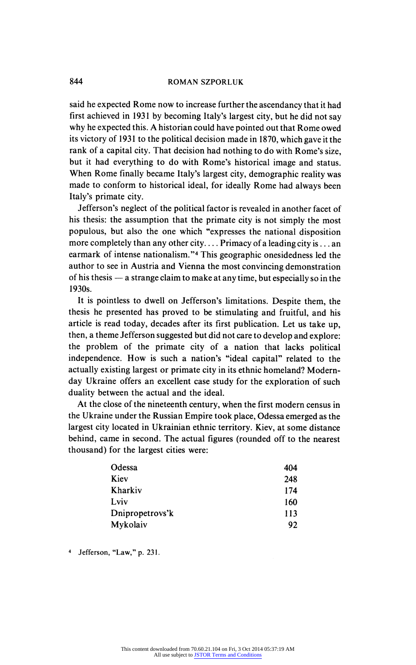said he expected Rome now to increase further the ascendancy that it had first achieved in 1931 by becoming Italy's largest city, but he did not say why he expected this. A historian could have pointed out that Rome owed its victory of 1931 to the political decision made in 1870, which gave it the rank of a capital city. That decision had nothing to do with Rome's size, but it had everything to do with Rome's historical image and status. When Rome finally became Italy's largest city, demographic reality was made to conform to historical ideal, for ideally Rome had always been Italy's primate city.

Jefferson's neglect of the political factor is revealed in another facet of his thesis: the assumption that the primate city is not simply the most populous, but also the one which "expresses the national disposition more completely than any other city.... Primacy of a leading city is  $\dots$  an earmark of intense nationalism."4 This geographic onesidedness led the author to see in Austria and Vienna the most convincing demonstration of his thesis  $-$  a strange claim to make at any time, but especially so in the 1930s.

It is pointless to dwell on Jefferson's limitations. Despite them, the thesis he presented has proved to be stimulating and fruitful, and his article is read today, decades after its first publication. Let us take up, then, a theme Jefferson suggested but did not care to develop and explore: the problem of the primate city of a nation that lacks political independence. How is such a nation's "ideal capital" related to the actually existing largest or primate city in its ethnic homeland? Modernday Ukraine offers an excellent case study for the exploration of such duality between the actual and the ideal.

At the close of the nineteenth century, when the first modern census in the Ukraine under the Russian Empire took place, Odessa emerged as the largest city located in Ukrainian ethnic territory. Kiev, at some distance behind, came in second. The actual figures (rounded off to the nearest thousand) for the largest cities were:

| Odessa          | 404 |
|-----------------|-----|
| Kiev            | 248 |
| Kharkiv         | 174 |
| Lviv            | 160 |
| Dnipropetrovs'k | 113 |
| Mykolaiv        | 92  |

4 Jefferson, "Law," p. 231.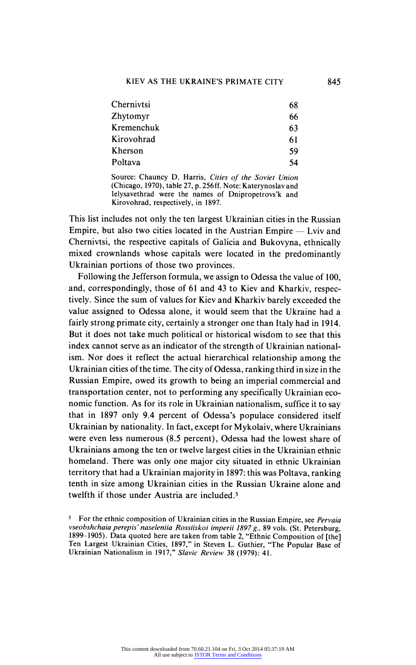| 68 |
|----|
| 66 |
| 63 |
| 61 |
| 59 |
| 54 |
|    |

Source: Chauncy D. Harris, Cities of the Soviet Union (Chicago, 1970), table 27, p. 256ff. Note: Katerynoslav and Ielysavethrad were the names of Dnipropetrovs'k and Kirovohrad, respectively, in 1897.

This list includes not only the ten largest Ukrainian cities in the Russian Empire, but also two cities located in the Austrian Empire  $-$  Lviv and Chernivtsi, the respective capitals of Galicia and Bukovyna, ethnically mixed crownlands whose capitals were located in the predominantly Ukrainian portions of those two provinces.

Following the Jefferson formula, we assign to Odessa the value of 100, and, correspondingly, those of 61 and 43 to Kiev and Kharkiv, respectively. Since the sum of values for Kiev and Kharkiv barely exceeded the value assigned to Odessa alone, it would seem that the Ukraine had a fairly strong primate city, certainly a stronger one than Italy had in 1914. But it does not take much political or historical wisdom to see that this index cannot serve as an indicator of the strength of Ukrainian nationalism. Nor does it reflect the actual hierarchical relationship among the Ukrainian cities of the time. The city of Odessa, ranking third in size in the Russian Empire, owed its growth to being an imperial commercial and transportation center, not to performing any specifically Ukrainian economic function. As for its role in Ukrainian nationalism, suffice it to say that in 1897 only 9.4 percent of Odessa's populace considered itself Ukrainian by nationality. In fact, except for Mykolaiv, where Ukrainians were even less numerous (8.5 percent), Odessa had the lowest share of Ukrainians among the ten or twelve largest cities in the Ukrainian ethnic homeland. There was only one major city situated in ethnic Ukrainian territory that had a Ukrainian majority in 1897: this was Poltava, ranking tenth in size among Ukrainian cities in the Russian Ukraine alone and twelfth if those under Austria are included.<sup>5</sup>

<sup>&</sup>lt;sup>5</sup> For the ethnic composition of Ukrainian cities in the Russian Empire, see Pervaia vseobshchaia perepis' naseleniia Rossiiskoi imperii 1897 g., 89 vols. (St. Petersburg, 1899–1905). Data quoted here are taken from table 2, "Ethnic Composition of [the] Ten Largest Ukrainian Cities, 1897," in Steven L. Guthier, "The Popular Base of Ukrainian Nationalism in 1917," Slavic Review 38 (1979): 41.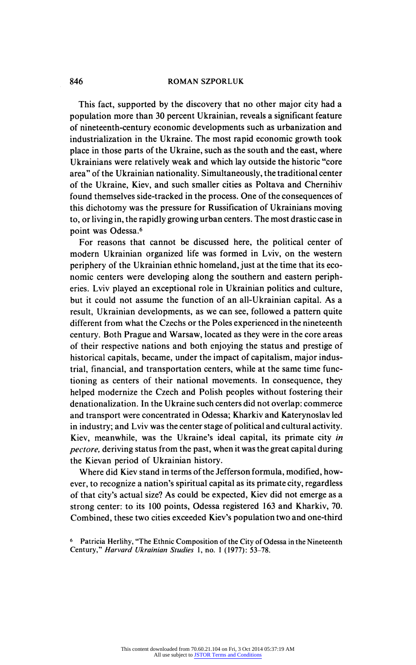#### 846 ROMAN SZPORLUK

This fact, supported by the discovery that no other major city had a population more than 30 percent Ukrainian, reveals a significant feature of nineteenth-century economic developments such as urbanization and industrialization in the Ukraine. The most rapid economic growth took place in those parts of the Ukraine, such as the south and the east, where Ukrainians were relatively weak and which lay outside the historic "core area" of the Ukrainian nationality. Simultaneously, the traditional center of the Ukraine, Kiev, and such smaller cities as Poltava and Chernihiv found themselves side-tracked in the process. One of the consequences of this dichotomy was the pressure for Russification of Ukrainians moving to, or living in, the rapidly growing urban centers. The most drastic case in point was Odessa.<sup>6</sup>

For reasons that cannot be discussed here, the political center of modern Ukrainian organized life was formed in Lviv, on the western periphery of the Ukrainian ethnic homeland, just at the time that its economic centers were developing along the southern and eastern peripheries. Lviv played an exceptional role in Ukrainian politics and culture, but it could not assume the function of an all-Ukrainian capital. As a result, Ukrainian developments, as we can see, followed a pattern quite different from what the Czechs or the Poles experienced in the nineteenth century. Both Prague and Warsaw, located as they were in the core areas of their respective nations and both enjoying the status and prestige of historical capitals, became, under the impact of capitalism, major industrial, financial, and transportation centers, while at the same time functioning as centers of their national movements. In consequence, they helped modernize the Czech and Polish peoples without fostering their denationalization. In the Ukraine such centers did not overlap: commerce and transport were concentrated in Odessa; Kharkiv and Katerynoslav led in industry; and Lviv was the center stage of political and cultural activity. Kiev, meanwhile, was the Ukraine's ideal capital, its primate city in pectore, deriving status from the past, when it was the great capital during the Kievan period of Ukrainian history.

Where did Kiev stand in terms of the Jefferson formula, modified, however, to recognize a nation's spiritual capital as its primate city, regardless of that city's actual size? As could be expected, Kiev did not emerge as a strong center: to its 100 points, Odessa registered 163 and Kharkiv, 70. Combined, these two cities exceeded Kiev's population two and one-third

<sup>6</sup> Patricia Herlihy, "The Ethnic Composition of the City of Odessa in the Nineteenth Century," Harvard Ukrainian Studies 1, no. 1 (1977): 53-78.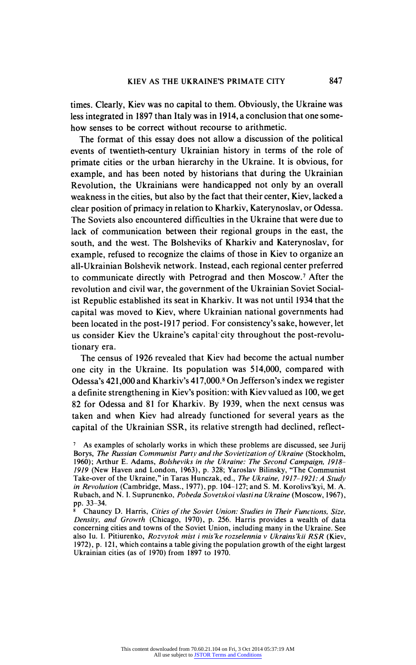times. Clearly, Kiev was no capital to them. Obviously, the Ukraine was less integrated in 1897 than Italy was in 1914, a conclusion that one somehow senses to be correct without recourse to arithmetic.

The format of this essay does not allow a discussion of the political events of twentieth-century Ukrainian history in terms of the role of primate cities or the urban hierarchy in the Ukraine. It is obvious, for example, and has been noted by historians that during the Ukrainian Revolution, the Ukrainians were handicapped not only by an overall weakness in the cities, but also by the fact that their center, Kiev, lacked a clear position of primacy in relation to Kharkiv, Katerynoslav, or Odessa. The Soviets also encountered difficulties in the Ukraine that were due to lack of communication between their regional groups in the east, the south, and the west. The Bolsheviks of Kharkiv and Katerynoslav, for example, refused to recognize the claims of those in Kiev to organize an all-Ukrainian Bolshevik network. Instead, each regional center preferred to communicate directly with Petrograd and then Moscow.7 After the revolution and civil war, the government of the Ukrainian Soviet Socialist Republic established its seat in Kharkiv. It was not until 1934 that the capital was moved to Kiev, where Ukrainian national governments had been located in the post-1917 period. For consistency's sake, however, let us consider Kiev the Ukraine's capital city throughout the post-revolutionary era.

The census of 1926 revealed that Kiev had become the actual number one city in the Ukraine. Its population was 514,000, compared with Odessa's 421,000 and Kharkiv's 417,000.8 On Jefferson's index we register a definite strengthening in Kiev's position: with Kiev valued as 100, we get 82 for Odessa and 81 for Kharkiv. By 1939, when the next census was taken and when Kiev had already functioned for several years as the capital of the Ukrainian SSR, its relative strength had declined, reflect-

<sup>7</sup> As examples of scholarly works in which these problems are discussed, see Jurij Borys, The Russian Communist Party and the Sovietization of Ukraine (Stockholm, 1960); Arthur E. Adams, Bolsheviks in the Ukraine: The Second Campaign, 1918- 1919 (New Haven and London, 1963), p. 328; Yaroslav Bilinsky, "The Communist Take-over of the Ukraine," in Taras Hunczak, ed., The Ukraine, 1917-1921: A Study in Revolution (Cambridge, Mass., 1977), pp. 104-127; and S. M. Korolivs'kyi, M. Á. Rubach, and N. I. Suprunenko, Pobeda Sovetskoi vlastina Ukraine (Moscow, 1967), pp. 33-34.

Chauncy D. Harris, Cities of the Soviet Union: Studies in Their Functions, Size, Density, and Growth (Chicago, 1970), p. 256. Harris provides a wealth of data concerning cities and towns of the Soviet Union, including many in the Ukraine. See also Iu. I. Pitiurenko, Rozvytok mist i mis'ke rozselennia v Ukrains'kii RSR (Kiev, 1972), p. 121, which contains atable giving the population growth of the eight largest Ukrainian cities (as of 1970) from 1897 to 1970.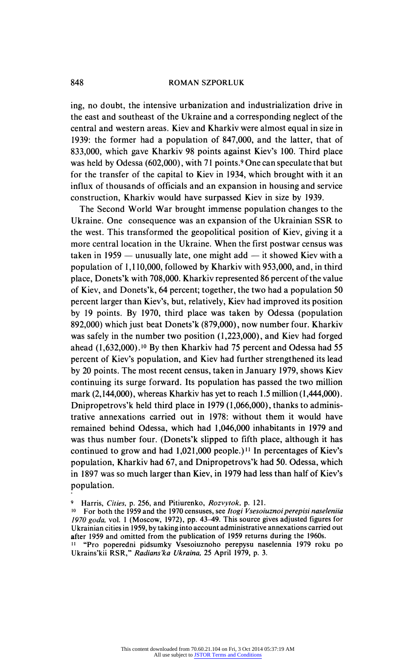#### 848 ROMAN SZPORLUK

ing, no doubt, the intensive urbanization and industrialization drive in the east and southeast of the Ukraine and a corresponding neglect of the central and western areas. Kiev and Kharkiv were almost equal in size in 1939: the former had a population of 847,000, and the latter, that of 833,000, which gave Kharkiv 98 points against Kiev's 100. Third place was held by Odessa (602,000), with 71 points.<sup>9</sup> One can speculate that but for the transfer of the capital to Kiev in 1934, which brought with it an influx of thousands of officials and an expansion in housing and service construction, Kharkiv would have surpassed Kiev in size by 1939.

The Second World War brought immense population changes to the Ukraine. One consequence was an expansion of the Ukrainian SSR to the west. This transformed the geopolitical position of Kiev, giving it a more central location in the Ukraine. When the first postwar census was taken in 1959  $-$  unusually late, one might add  $-$  it showed Kiev with a population of 1,1 10,000, followed by Kharkiv with 953,000, and, in third place, Donets'k with 708,000. Kharkiv represented 86 percent of the value of Kiev, and Donets'k, 64 percent; together, the two had a population 50 percent larger than Kiev's, but, relatively, Kiev had improved its position by 19 points. By 1970, third place was taken by Odessa (population 892,000) which just beat Donets'k (879,000), now number four. Kharkiv was safely in the number two position (1,223,000), and Kiev had forged ahead (1, 632,000). 10 By then Kharkiv had 75 percent and Odessa had 55 percent of Kiev's population, and Kiev had further strengthened its lead by 20 points. The most recent census, taken in January 1979, shows Kiev continuing its surge forward. Its population has passed the two million mark (2,144,000), whereas Kharkiv has yet to reach 1.5 million (1,444,000). Dnipropetrovs'k held third place in 1979 (1,066,000), thanks to administrative annexations carried out in 1978: without them it would have remained behind Odessa, which had 1,046,000 inhabitants in 1979 and was thus number four. (Donets'k slipped to fifth place, although it has continued to grow and had  $1,021,000$  people.)<sup>11</sup> In percentages of Kiev's population, Kharkiv had 67, and Dnipropetrovs'k had 50. Odessa, which in 1897 was so much larger than Kiev, in 1979 had less than half of Kiev's population.

<sup>&</sup>lt;sup>9</sup> Harris, Cities, p. 256, and Pitiurenko, Rozvytok, p. 121.

<sup>&</sup>lt;sup>10</sup> For both the 1959 and the 1970 censuses, see Itogi Vsesoiuznoi perepisi naseleniia 1970 goda, vol. 1 (Moscow, 1972), pp. 43-49. This source gives adjusted figures for Ukrainian cities in 1959, by taking into account administrative annexations carried out after 1959 and omitted from the publication of 1959 returns during the 1960s.

<sup>11 &</sup>quot;Pro poperedni pidsumky Vsesoiuznoho perepysu naselennia 1979 roku po Ukrains'kii RSR," Radians'ka Ukraina, 25 April 1979, p. 3.